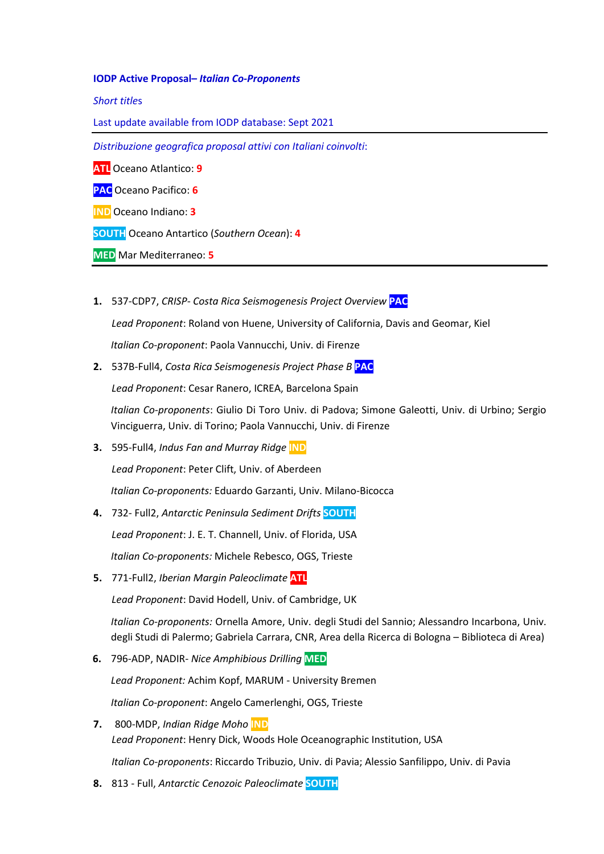## **IODP Active Proposal–** *Italian Co-Proponents*

*Short title*s

Last update available from IODP database: Sept 2021

*Distribuzione geografica proposal attivi con Italiani coinvolti*:

**ATL** Oceano Atlantico: **9**

**PAC** Oceano Pacifico: **6**

**IND** Oceano Indiano: **3**

**SOUTH** Oceano Antartico (*Southern Ocean*): **4**

**MED** Mar Mediterraneo: **5**

**1.** 537-CDP7, *CRISP- Costa Rica Seismogenesis Project Overview* **PAC**

*Lead Proponent*: Roland von Huene, University of California, Davis and Geomar, Kiel

*Italian Co-proponent*: Paola Vannucchi, Univ. di Firenze

**2.** 537B-Full4, *Costa Rica Seismogenesis Project Phase B* **PAC**

*Lead Proponent*: Cesar Ranero, ICREA, Barcelona Spain

*Italian Co-proponents*: Giulio Di Toro Univ. di Padova; Simone Galeotti, Univ. di Urbino; Sergio Vinciguerra, Univ. di Torino; Paola Vannucchi, Univ. di Firenze

**3.** 595-Full4, *Indus Fan and Murray Ridge* **IND**

*Lead Proponent*: Peter Clift, Univ. of Aberdeen

*Italian Co-proponents:* Eduardo Garzanti, Univ. Milano-Bicocca

- **4.** 732- Full2, *Antarctic Peninsula Sediment Drifts* **SOUTH** *Lead Proponent*: J. E. T. Channell, Univ. of Florida, USA *Italian Co-proponents:* Michele Rebesco, OGS, Trieste
- **5.** 771-Full2, *Iberian Margin Paleoclimate* **ATL**

*Lead Proponent*: David Hodell, Univ. of Cambridge, UK

*Italian Co-proponents:* Ornella Amore, Univ. degli Studi del Sannio; Alessandro Incarbona, Univ. degli Studi di Palermo; Gabriela Carrara, CNR, Area della Ricerca di Bologna – Biblioteca di Area)

**6.** 796-ADP, NADIR- *Nice Amphibious Drilling* **MED**

*Lead Proponent:* Achim Kopf, MARUM - University Bremen

*Italian Co-proponent*: Angelo Camerlenghi, OGS, Trieste

- **7.** 800-MDP, *Indian Ridge Moho* **IND** *Lead Proponent*: Henry Dick, Woods Hole Oceanographic Institution, USA *Italian Co-proponents*: Riccardo Tribuzio, Univ. di Pavia; Alessio Sanfilippo, Univ. di Pavia
- **8.** 813 Full, *Antarctic Cenozoic Paleoclimate* **SOUTH**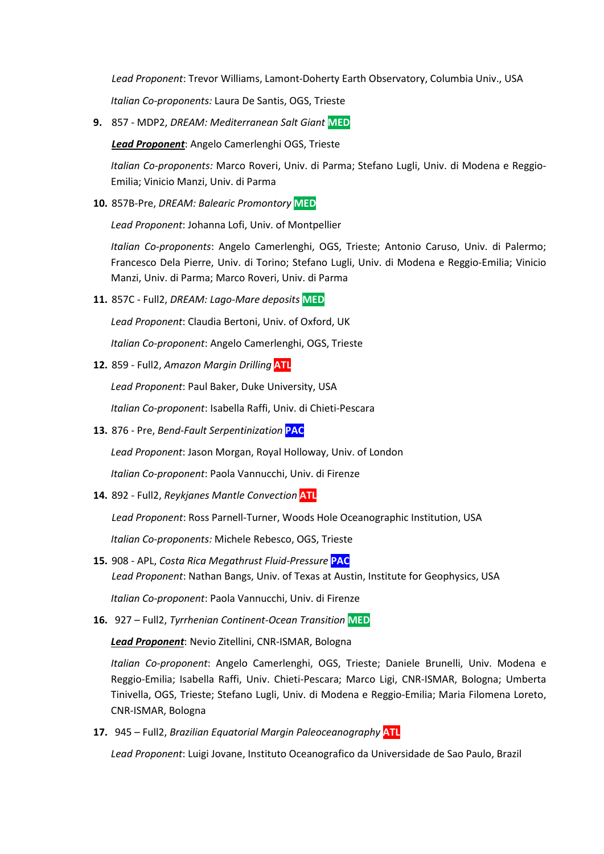*Lead Proponent*: Trevor Williams, Lamont-Doherty Earth Observatory, Columbia Univ., USA

*Italian Co-proponents:* Laura De Santis, OGS, Trieste

**9.** 857 - MDP2, *DREAM: Mediterranean Salt Giant* **MED**

*Lead Proponent*: Angelo Camerlenghi OGS, Trieste

*Italian Co-proponents:* Marco Roveri, Univ. di Parma; Stefano Lugli, Univ. di Modena e Reggio-Emilia; Vinicio Manzi, Univ. di Parma

**10.** 857B-Pre, *DREAM: Balearic Promontory* **MED**

*Lead Proponent*: Johanna Lofi, Univ. of Montpellier

*Italian Co-proponents*: Angelo Camerlenghi, OGS, Trieste; Antonio Caruso, Univ. di Palermo; Francesco Dela Pierre, Univ. di Torino; Stefano Lugli, Univ. di Modena e Reggio-Emilia; Vinicio Manzi, Univ. di Parma; Marco Roveri, Univ. di Parma

**11.** 857C - Full2, *DREAM: Lago-Mare deposits* **MED**

*Lead Proponent*: Claudia Bertoni, Univ. of Oxford, UK

*Italian Co-proponent*: Angelo Camerlenghi, OGS, Trieste

**12.** 859 - Full2, *Amazon Margin Drilling* **ATL**

*Lead Proponent*: Paul Baker, Duke University, USA

*Italian Co-proponent*: Isabella Raffi, Univ. di Chieti-Pescara

**13.** 876 - Pre, *Bend-Fault Serpentinization* **PAC**

*Lead Proponent*: Jason Morgan, Royal Holloway, Univ. of London

*Italian Co-proponent*: Paola Vannucchi, Univ. di Firenze

**14.** 892 - Full2, *Reykjanes Mantle Convection* **ATL**

*Lead Proponent*: Ross Parnell-Turner, Woods Hole Oceanographic Institution, USA

*Italian Co-proponents:* Michele Rebesco, OGS, Trieste

- **15.** 908 APL, *Costa Rica Megathrust Fluid-Pressure* **PAC** *Lead Proponent*: Nathan Bangs, Univ. of Texas at Austin, Institute for Geophysics, USA *Italian Co-proponent*: Paola Vannucchi, Univ. di Firenze
- **16.** 927 Full2, *Tyrrhenian Continent-Ocean Transition* **MED**

*Lead Proponent*: Nevio Zitellini, CNR-ISMAR, Bologna

*Italian Co-proponent*: Angelo Camerlenghi, OGS, Trieste; Daniele Brunelli, Univ. Modena e Reggio-Emilia; Isabella Raffi, Univ. Chieti-Pescara; Marco Ligi, CNR-ISMAR, Bologna; Umberta Tinivella, OGS, Trieste; Stefano Lugli, Univ. di Modena e Reggio-Emilia; Maria Filomena Loreto, CNR-ISMAR, Bologna

**17.** 945 – Full2, *Brazilian Equatorial Margin Paleoceanography* **ATL**

*Lead Proponent*: Luigi Jovane, Instituto Oceanografico da Universidade de Sao Paulo, Brazil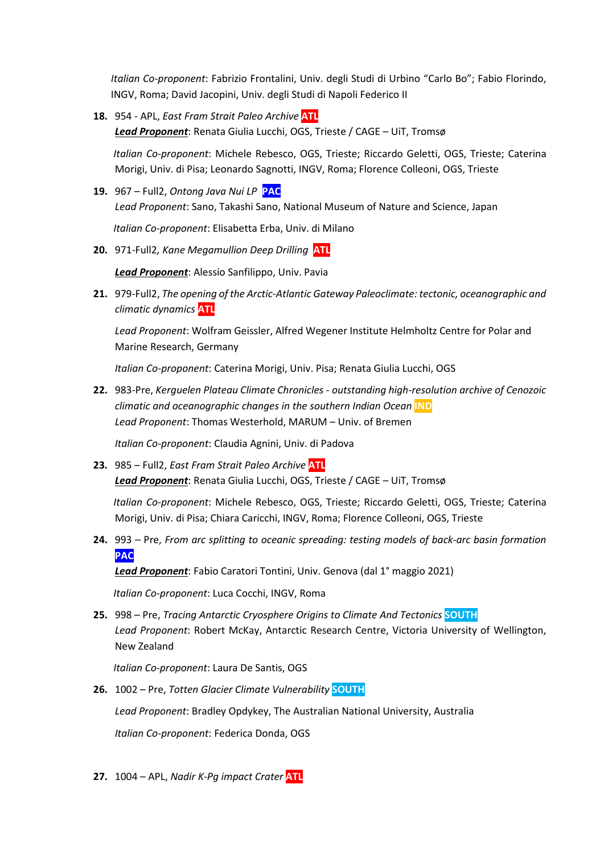*Italian Co-proponent*: Fabrizio Frontalini, Univ. degli Studi di Urbino "Carlo Bo"; Fabio Florindo, INGV, Roma; David Jacopini, Univ. degli Studi di Napoli Federico II

**18.** 954 - APL, *East Fram Strait Paleo Archive* **ATL** *Lead Proponent*: Renata Giulia Lucchi, OGS, Trieste / CAGE – UiT, Tromsø

*Italian Co-proponent*: Michele Rebesco, OGS, Trieste; Riccardo Geletti, OGS, Trieste; Caterina Morigi, Univ. di Pisa; Leonardo Sagnotti, INGV, Roma; Florence Colleoni, OGS, Trieste

**19.** 967 – Full2, *Ontong Java Nui LP* **PAC** *Lead Proponent*: Sano, Takashi Sano, National Museum of Nature and Science, Japan

*Italian Co-proponent*: Elisabetta Erba, Univ. di Milano

**20.** 971-Full2*, Kane Megamullion Deep Drilling* **ATL**

*Lead Proponent*: Alessio Sanfilippo, Univ. Pavia

**21.** 979-Full2, *The opening of the Arctic-Atlantic Gateway Paleoclimate: tectonic, oceanographic and climatic dynamics* **ATL**

*Lead Proponent*: Wolfram Geissler, Alfred Wegener Institute Helmholtz Centre for Polar and Marine Research, Germany

*Italian Co-proponent*: Caterina Morigi, Univ. Pisa; Renata Giulia Lucchi, OGS

**22.** 983-Pre, *Kerguelen Plateau Climate Chronicles - outstanding high-resolution archive of Cenozoic climatic and oceanographic changes in the southern Indian Ocean* **IND** *Lead Proponent*: Thomas Westerhold, MARUM – Univ. of Bremen

*Italian Co-proponent*: Claudia Agnini, Univ. di Padova

**23.** 985 – Full2, *East Fram Strait Paleo Archive* **ATL** *Lead Proponent*: Renata Giulia Lucchi, OGS, Trieste / CAGE – UiT, Tromsø

*Italian Co-proponent*: Michele Rebesco, OGS, Trieste; Riccardo Geletti, OGS, Trieste; Caterina Morigi, Univ. di Pisa; Chiara Caricchi, INGV, Roma; Florence Colleoni, OGS, Trieste

**24.** 993 – Pre, *From arc splitting to oceanic spreading: testing models of back-arc basin formation* **PAC**

*Lead Proponent*: Fabio Caratori Tontini, Univ. Genova (dal 1° maggio 2021)

*Italian Co-proponent*: Luca Cocchi, INGV, Roma

**25.** 998 – Pre, *Tracing Antarctic Cryosphere Origins to Climate And Tectonics* **SOUTH** *Lead Proponent*: Robert McKay, Antarctic Research Centre, Victoria University of Wellington, New Zealand

*Italian Co-proponent*: Laura De Santis, OGS

- **26.** 1002 Pre, *Totten Glacier Climate Vulnerability* **SOUTH** *Lead Proponent*: Bradley Opdykey, The Australian National University, Australia *Italian Co-proponent*: Federica Donda, OGS
- **27.** 1004 APL, *Nadir K-Pg impact Crater* **ATL**